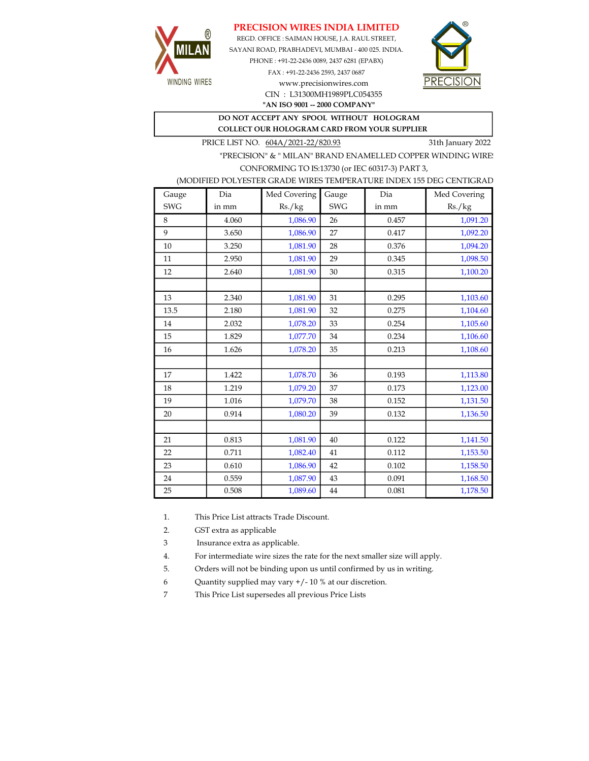# PRECISION WIRES INDIA LIMITED



REGD. OFFICE : SAIMAN HOUSE, J.A. RAUL STREET, SAYANI ROAD, PRABHADEVI, MUMBAI - 400 025. INDIA. PHONE : +91-22-2436 0089, 2437 6281 (EPABX)

> FAX : +91-22-2436 2593, 2437 0687 www.precisionwires.com CIN : L31300MH1989PLC054355



"AN ISO 9001 -- 2000 COMPANY"

#### DO NOT ACCEPT ANY SPOOL WITHOUT HOLOGRAM COLLECT OUR HOLOGRAM CARD FROM YOUR SUPPLIER

PRICE LIST NO.  $604A/2021-22/820.93$  31th January 2022

"PRECISION" & " MILAN" BRAND ENAMELLED COPPER WINDING WIRE CONFORMING TO IS:13730 (or IEC 60317-3) PART 3,

### (MODIFIED POLYESTER GRADE WIRES TEMPERATURE INDEX 155 DEG CENTIGRAD

| Gauge      | Dia   | Med Covering | Gauge      | Dia   | Med Covering |
|------------|-------|--------------|------------|-------|--------------|
| <b>SWG</b> | in mm | Rs./kg       | <b>SWG</b> | in mm | Rs./kg       |
| 8          | 4.060 | 1,086.90     | 26         | 0.457 | 1,091.20     |
| 9          | 3.650 | 1,086.90     | 27         | 0.417 | 1,092.20     |
| 10         | 3.250 | 1,081.90     | 28         | 0.376 | 1,094.20     |
| 11         | 2.950 | 1,081.90     | 29         | 0.345 | 1,098.50     |
| 12         | 2.640 | 1,081.90     | 30         | 0.315 | 1,100.20     |
|            |       |              |            |       |              |
| 13         | 2.340 | 1,081.90     | 31         | 0.295 | 1,103.60     |
| 13.5       | 2.180 | 1,081.90     | 32         | 0.275 | 1,104.60     |
| 14         | 2.032 | 1,078.20     | 33         | 0.254 | 1,105.60     |
| 15         | 1.829 | 1,077.70     | 34         | 0.234 | 1,106.60     |
| 16         | 1.626 | 1,078.20     | 35         | 0.213 | 1,108.60     |
|            |       |              |            |       |              |
| 17         | 1.422 | 1,078.70     | 36         | 0.193 | 1,113.80     |
| 18         | 1.219 | 1,079.20     | 37         | 0.173 | 1,123.00     |
| 19         | 1.016 | 1,079.70     | 38         | 0.152 | 1,131.50     |
| 20         | 0.914 | 1,080.20     | 39         | 0.132 | 1,136.50     |
|            |       |              |            |       |              |
| 21         | 0.813 | 1,081.90     | 40         | 0.122 | 1,141.50     |
| 22         | 0.711 | 1,082.40     | 41         | 0.112 | 1,153.50     |
| 23         | 0.610 | 1,086.90     | 42         | 0.102 | 1,158.50     |
| 24         | 0.559 | 1,087.90     | 43         | 0.091 | 1,168.50     |
| 25         | 0.508 | 1,089.60     | 44         | 0.081 | 1,178.50     |

1. This Price List attracts Trade Discount.

2. GST extra as applicable

3 Insurance extra as applicable.

4. For intermediate wire sizes the rate for the next smaller size will apply.

5. Orders will not be binding upon us until confirmed by us in writing.

6 Quantity supplied may vary +/- 10 % at our discretion.

7 This Price List supersedes all previous Price Lists